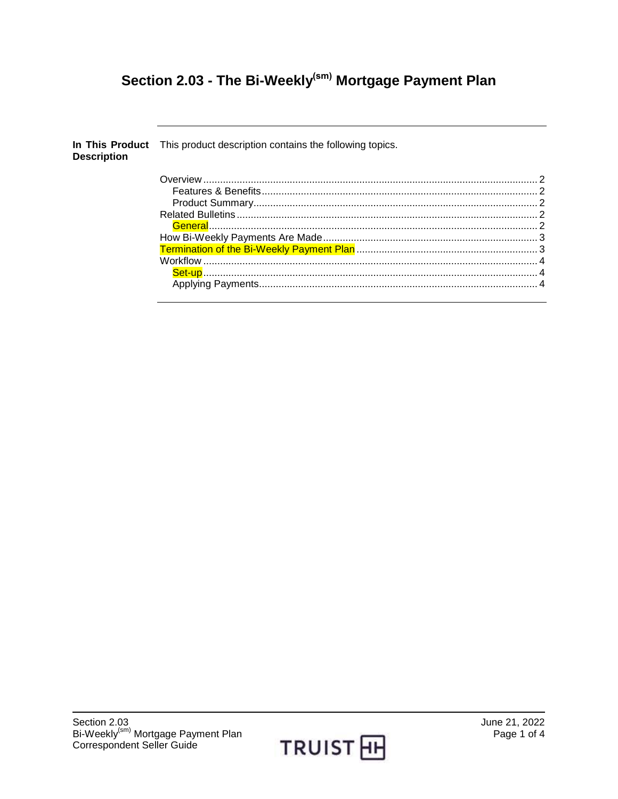# Section 2.03 - The Bi-Weekly<sup>(sm)</sup> Mortgage Payment Plan

| <b>Description</b> | In This Product This product description contains the following topics. |  |
|--------------------|-------------------------------------------------------------------------|--|
|                    |                                                                         |  |
|                    |                                                                         |  |
|                    |                                                                         |  |
|                    |                                                                         |  |
|                    |                                                                         |  |
|                    |                                                                         |  |
|                    |                                                                         |  |
|                    |                                                                         |  |
|                    |                                                                         |  |
|                    |                                                                         |  |
|                    |                                                                         |  |

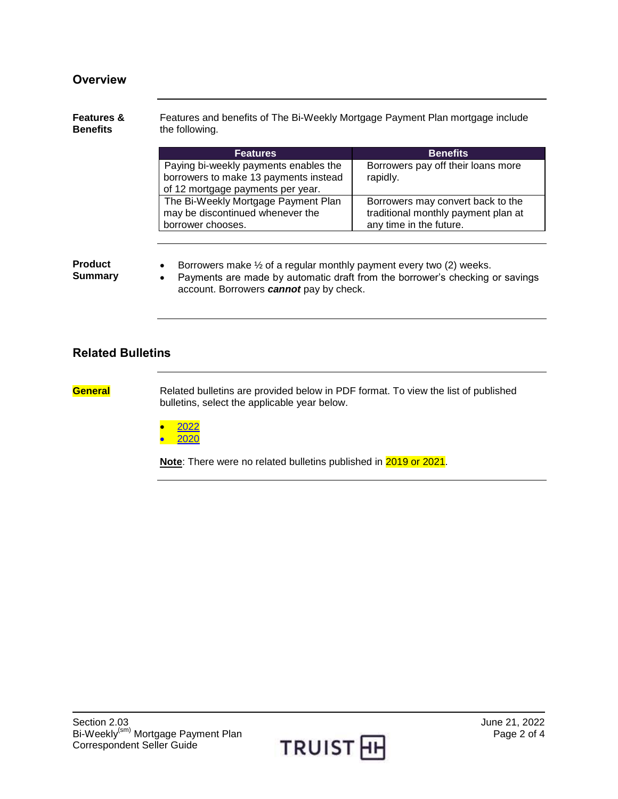### **Overview**

#### **Features & Benefits** Features and benefits of The Bi-Weekly Mortgage Payment Plan mortgage include the following.

| <b>Features</b>                                                                | <b>Benefits</b>                                |
|--------------------------------------------------------------------------------|------------------------------------------------|
| Paying bi-weekly payments enables the<br>borrowers to make 13 payments instead | Borrowers pay off their loans more<br>rapidly. |
| of 12 mortgage payments per year.                                              |                                                |
| The Bi-Weekly Mortgage Payment Plan                                            | Borrowers may convert back to the              |
| may be discontinued whenever the                                               | traditional monthly payment plan at            |
| borrower chooses.                                                              | any time in the future.                        |

#### **Product Summary**

- **•** Borrowers make  $\frac{1}{2}$  of a regular monthly payment every two (2) weeks.
- Payments are made by automatic draft from the borrower's checking or savings account. Borrowers *cannot* pay by check.

### **Related Bulletins**

**General** Related bulletins are provided below in PDF format. To view the list of published bulletins, select the applicable year below.

> [2022](https://truistsellerguide.com/manual/cor/bulletins/Related%20Bulletins/2022/CBi-Weekly2022.pdf) [2020](https://truistsellerguide.com/manual/cor/bulletins/Related%20Bulletins/2020/CBi-Weekly2020.pdf)

**Note**: There were no related bulletins published in 2019 or 2021.

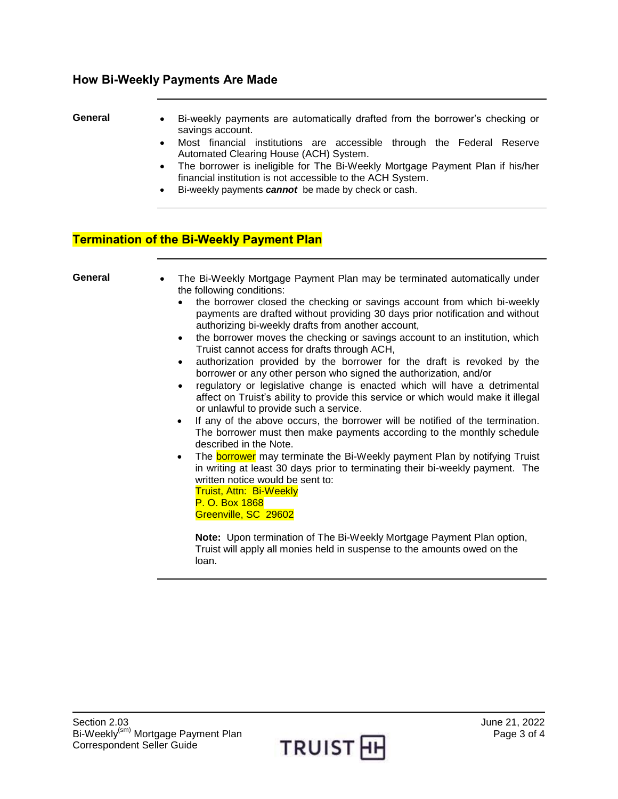#### **How Bi-Weekly Payments Are Made**

- General Bi-weekly payments are automatically drafted from the borrower's checking or savings account.
	- Most financial institutions are accessible through the Federal Reserve Automated Clearing House (ACH) System.
	- The borrower is ineligible for The Bi-Weekly Mortgage Payment Plan if his/her financial institution is not accessible to the ACH System.
	- Bi-weekly payments *cannot* be made by check or cash.

#### **Termination of the Bi-Weekly Payment Plan**

| General | The Bi-Weekly Mortgage Payment Plan may be terminated automatically under<br>the following conditions:<br>the borrower closed the checking or savings account from which bi-weekly<br>$\bullet$<br>payments are drafted without providing 30 days prior notification and without<br>authorizing bi-weekly drafts from another account,<br>the borrower moves the checking or savings account to an institution, which<br>$\bullet$<br>Truist cannot access for drafts through ACH,<br>authorization provided by the borrower for the draft is revoked by the<br>$\bullet$<br>borrower or any other person who signed the authorization, and/or<br>regulatory or legislative change is enacted which will have a detrimental<br>$\bullet$<br>affect on Truist's ability to provide this service or which would make it illegal<br>or unlawful to provide such a service.<br>If any of the above occurs, the borrower will be notified of the termination.<br>$\bullet$<br>The borrower must then make payments according to the monthly schedule<br>described in the Note.<br>The borrower may terminate the Bi-Weekly payment Plan by notifying Truist<br>$\bullet$<br>in writing at least 30 days prior to terminating their bi-weekly payment. The<br>written notice would be sent to:<br><b>Truist, Attn: Bi-Weekly</b><br>P. O. Box 1868<br>Greenville, SC 29602 |
|---------|----------------------------------------------------------------------------------------------------------------------------------------------------------------------------------------------------------------------------------------------------------------------------------------------------------------------------------------------------------------------------------------------------------------------------------------------------------------------------------------------------------------------------------------------------------------------------------------------------------------------------------------------------------------------------------------------------------------------------------------------------------------------------------------------------------------------------------------------------------------------------------------------------------------------------------------------------------------------------------------------------------------------------------------------------------------------------------------------------------------------------------------------------------------------------------------------------------------------------------------------------------------------------------------------------------------------------------------------------------------------|
|         | Note: Upon termination of The Bi-Weekly Mortgage Payment Plan option,                                                                                                                                                                                                                                                                                                                                                                                                                                                                                                                                                                                                                                                                                                                                                                                                                                                                                                                                                                                                                                                                                                                                                                                                                                                                                                |

Truist will apply all monies held in suspense to the amounts owed on the loan.